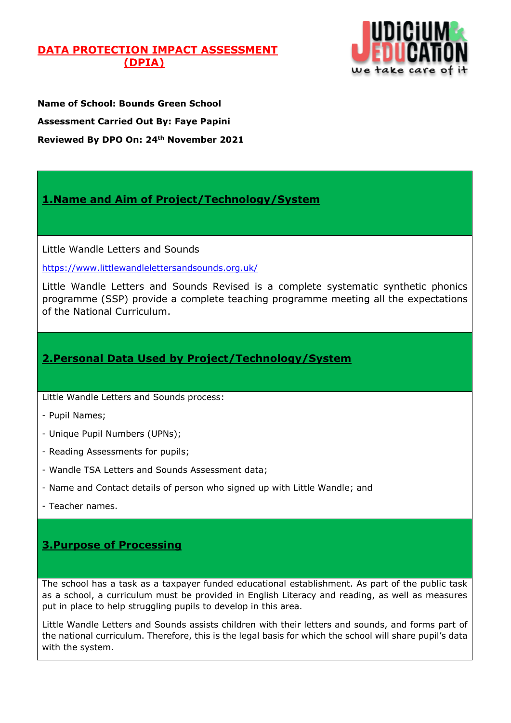## **DATA PROTECTION IMPACT ASSESSMENT (DPIA)**



**Name of School: Bounds Green School Assessment Carried Out By: Faye Papini Reviewed By DPO On: 24th November 2021**

# **1.Name and Aim of Project/Technology/System**

Little Wandle Letters and Sounds

<https://www.littlewandlelettersandsounds.org.uk/>

Little Wandle Letters and Sounds Revised is a complete systematic synthetic phonics programme (SSP) provide a complete teaching programme meeting all the expectations of the National Curriculum.

## **2.Personal Data Used by Project/Technology/System**

Little Wandle Letters and Sounds process:

- Pupil Names;
- Unique Pupil Numbers (UPNs);
- Reading Assessments for pupils;
- Wandle TSA Letters and Sounds Assessment data;
- Name and Contact details of person who signed up with Little Wandle; and
- Teacher names.

# **3.Purpose of Processing**

The school has a task as a taxpayer funded educational establishment. As part of the public task as a school, a curriculum must be provided in English Literacy and reading, as well as measures put in place to help struggling pupils to develop in this area.

Little Wandle Letters and Sounds assists children with their letters and sounds, and forms part of the national curriculum. Therefore, this is the legal basis for which the school will share pupil's data with the system.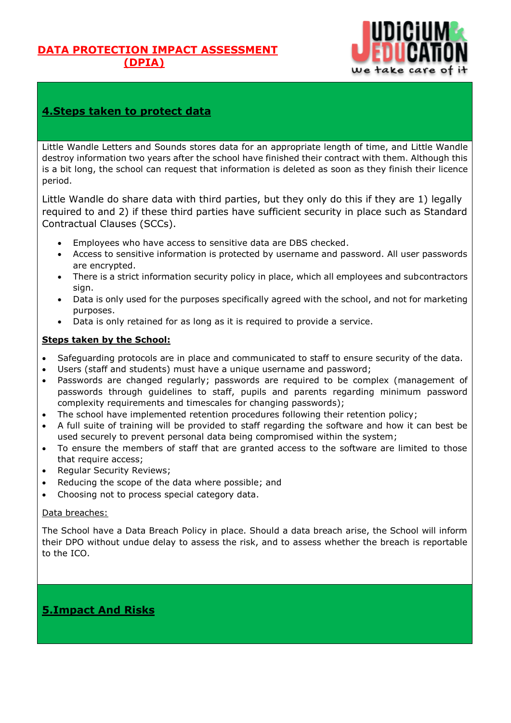## **DATA PROTECTION IMPACT ASSESSMENT (DPIA)**



## **4.Steps taken to protect data**

Little Wandle Letters and Sounds stores data for an appropriate length of time, and Little Wandle destroy information two years after the school have finished their contract with them. Although this is a bit long, the school can request that information is deleted as soon as they finish their licence period.

Little Wandle do share data with third parties, but they only do this if they are 1) legally required to and 2) if these third parties have sufficient security in place such as Standard Contractual Clauses (SCCs).

- Employees who have access to sensitive data are DBS checked.
- Access to sensitive information is protected by username and password. All user passwords are encrypted.
- There is a strict information security policy in place, which all employees and subcontractors sign.
- Data is only used for the purposes specifically agreed with the school, and not for marketing purposes.
- Data is only retained for as long as it is required to provide a service.

### **Steps taken by the School:**

- Safeguarding protocols are in place and communicated to staff to ensure security of the data.
- Users (staff and students) must have a unique username and password;
- Passwords are changed regularly; passwords are required to be complex (management of passwords through guidelines to staff, pupils and parents regarding minimum password complexity requirements and timescales for changing passwords);
- The school have implemented retention procedures following their retention policy;
- A full suite of training will be provided to staff regarding the software and how it can best be used securely to prevent personal data being compromised within the system;
- To ensure the members of staff that are granted access to the software are limited to those that require access;
- Regular Security Reviews;
- Reducing the scope of the data where possible; and
- Choosing not to process special category data.

### Data breaches:

The School have a Data Breach Policy in place. Should a data breach arise, the School will inform their DPO without undue delay to assess the risk, and to assess whether the breach is reportable to the ICO.

# **5.Impact And Risks**